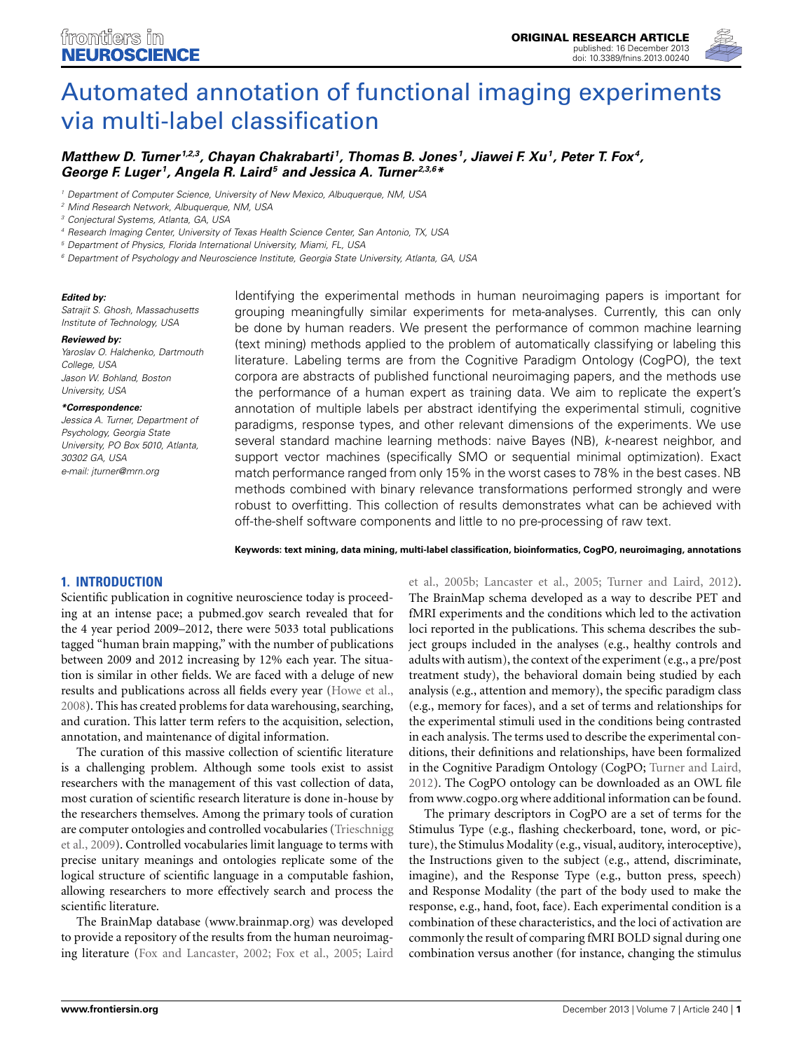

# [Automated annotation of functional imaging experiments](http://www.frontiersin.org/journal/10.3389/fnins.2013.00240/abstract) via multi-label classification

# *[Matthew D. Turner](http://www.frontiersin.org/people/u/96241) 1,2,3, [Chayan Chakrabarti](http://www.frontiersin.org/people/u/106187) 1, Thomas B. Jones 1, Jiawei F. Xu1, [Peter T. Fox4](http://www.frontiersin.org/people/u/4513), George F. Luger 1, [Angela R. Laird](http://www.frontiersin.org/people/u/4504)5 and [Jessica A. Turner](http://www.frontiersin.org/people/u/9286) 2,3,6\**

*<sup>1</sup> Department of Computer Science, University of New Mexico, Albuquerque, NM, USA*

*<sup>6</sup> Department of Psychology and Neuroscience Institute, Georgia State University, Atlanta, GA, USA*

#### *Edited by:*

*Satrajit S. Ghosh, Massachusetts Institute of Technology, USA*

#### *Reviewed by:*

*Yaroslav O. Halchenko, Dartmouth College, USA Jason W. Bohland, Boston University, USA*

#### *\*Correspondence:*

*Jessica A. Turner, Department of Psychology, Georgia State University, PO Box 5010, Atlanta, e-mail: [jturner@mrn.org](mailto:jturner@mrn.org) 30302 GA, USA*

Identifying the experimental methods in human neuroimaging papers is important for grouping meaningfully similar experiments for meta-analyses. Currently, this can only be done by human readers. We present the performance of common machine learning (text mining) methods applied to the problem of automatically classifying or labeling this literature. Labeling terms are from the Cognitive Paradigm Ontology (CogPO), the text corpora are abstracts of published functional neuroimaging papers, and the methods use the performance of a human expert as training data. We aim to replicate the expert's annotation of multiple labels per abstract identifying the experimental stimuli, cognitive paradigms, response types, and other relevant dimensions of the experiments. We use several standard machine learning methods: naive Bayes (NB), *k*-nearest neighbor, and support vector machines (specifically SMO or sequential minimal optimization). Exact match performance ranged from only 15% in the worst cases to 78% in the best cases. NB methods combined with binary relevance transformations performed strongly and were robust to overfitting. This collection of results demonstrates what can be achieved with off-the-shelf software components and little to no pre-processing of raw text.

**Keywords: text mining, data mining, multi-label classification, bioinformatics, CogPO, neuroimaging, annotations**

# **1. INTRODUCTION**

Scientific publication in cognitive neuroscience today is proceeding at an intense pace; a [pubmed](pubmed.gov).gov search revealed that for the 4 year period 2009–2012, there were 5033 total publications tagged "human brain mapping," with the number of publications between 2009 and 2012 increasing by 12% each year. The situation is similar in other fields. We are faced with a deluge of new results and publications across all fields every year [\(Howe et al.,](#page-11-0) [2008](#page-11-0)). This has created problems for data warehousing, searching, and curation. This latter term refers to the acquisition, selection, annotation, and maintenance of digital information.

The curation of this massive collection of scientific literature is a challenging problem. Although some tools exist to assist researchers with the management of this vast collection of data, most curation of scientific research literature is done in-house by the researchers themselves. Among the primary tools of curation are c[omputer](#page-12-0) [ontologies](#page-12-0) [and](#page-12-0) [controlled](#page-12-0) [vocabularies](#page-12-0) [\(](#page-12-0)Trieschnigg et al., [2009](#page-12-0)). Controlled vocabularies limit language to terms with precise unitary meanings and ontologies replicate some of the logical structure of scientific language in a computable fashion, allowing researchers to more effectively search and process the scientific literature.

The BrainMap database (www.[brainmap](www.brainmap.org).org) was developed to provide a repository of the results from the human neuroimaging literature [\(Fox and Lancaster, 2002;](#page-11-1) [Fox et al., 2005;](#page-11-2) Laird

et al., [2005b;](#page-12-1) [Lancaster et al.](#page-12-2), [2005;](#page-12-2) [Turner and Laird](#page-12-3), [2012](#page-12-3)). The BrainMap schema developed as a way to describe PET and fMRI experiments and the conditions which led to the activation loci reported in the publications. This schema describes the subject groups included in the analyses (e.g., healthy controls and adults with autism), the context of the experiment (e.g., a pre/post treatment study), the behavioral domain being studied by each analysis (e.g., attention and memory), the specific paradigm class (e.g., memory for faces), and a set of terms and relationships for the experimental stimuli used in the conditions being contrasted in each analysis. The terms used to describe the experimental conditions, their definitions and relationships, have been formalized in the Cognitive Paradigm Ontology (CogPO; [Turner and Laird](#page-12-3), [2012](#page-12-3)). The CogPO ontology can be downloaded as an OWL file from www.[cogpo](www.cogpo.org).org where additional information can be found.

The primary descriptors in CogPO are a set of terms for the Stimulus Type (e.g., flashing checkerboard, tone, word, or picture), the Stimulus Modality (e.g., visual, auditory, interoceptive), the Instructions given to the subject (e.g., attend, discriminate, imagine), and the Response Type (e.g., button press, speech) and Response Modality (the part of the body used to make the response, e.g., hand, foot, face). Each experimental condition is a combination of these characteristics, and the loci of activation are commonly the result of comparing fMRI BOLD signal during one combination versus another (for instance, changing the stimulus

*<sup>2</sup> Mind Research Network, Albuquerque, NM, USA*

*<sup>3</sup> Conjectural Systems, Atlanta, GA, USA*

*<sup>4</sup> Research Imaging Center, University of Texas Health Science Center, San Antonio, TX, USA*

*<sup>5</sup> Department of Physics, Florida International University, Miami, FL, USA*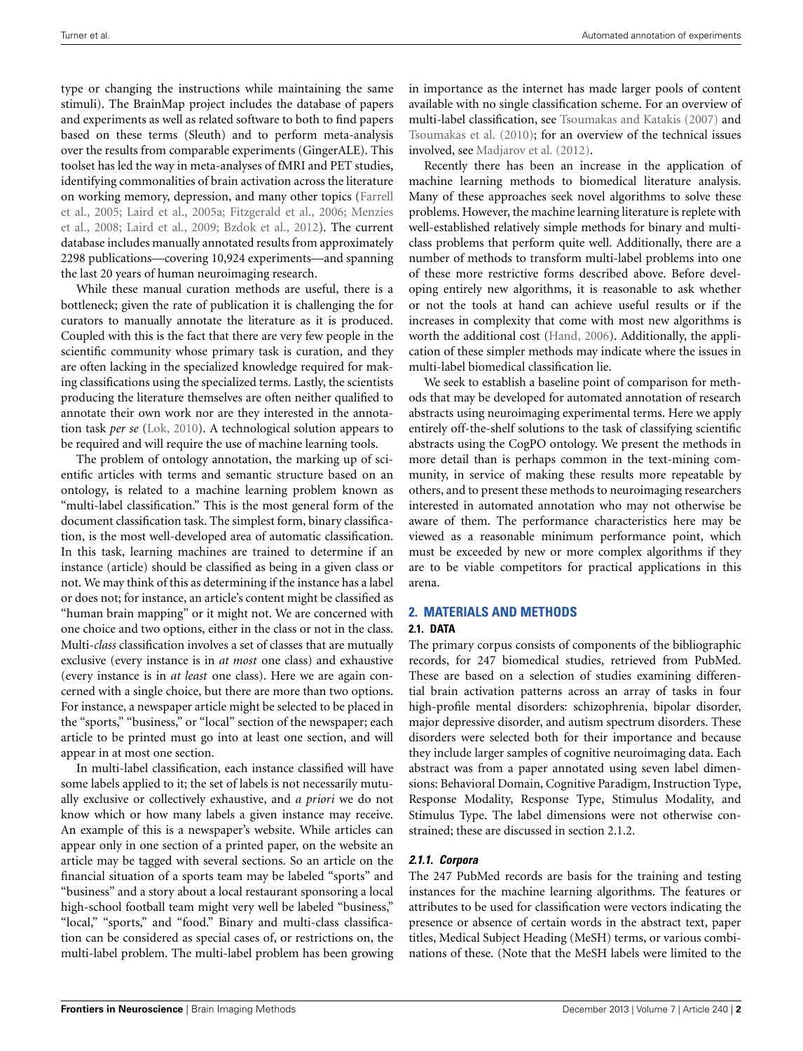type or changing the instructions while maintaining the same stimuli). The BrainMap project includes the database of papers and experiments as well as related software to both to find papers based on these terms (Sleuth) and to perform meta-analysis over the results from comparable experiments (GingerALE). This toolset has led the way in meta-analyses of fMRI and PET studies, identifying commonalities of brain activation across the literature on [working memory, depression, and many other topics \(](#page-11-3)Farrell et al[.,](#page-12-5) [2005](#page-11-3)[;](#page-12-5) [Laird et al.](#page-12-4)[,](#page-12-5) [2005a](#page-12-4)[;](#page-12-5) [Fitzgerald et al.](#page-11-4)[,](#page-12-5) [2006](#page-11-4)[;](#page-12-5) Menzies et al., [2008](#page-12-5); [Laird et al.](#page-11-5), [2009](#page-11-5); [Bzdok et al.](#page-11-6), [2012](#page-11-6)). The current database includes manually annotated results from approximately 2298 publications—covering 10,924 experiments—and spanning the last 20 years of human neuroimaging research.

While these manual curation methods are useful, there is a bottleneck; given the rate of publication it is challenging the for curators to manually annotate the literature as it is produced. Coupled with this is the fact that there are very few people in the scientific community whose primary task is curation, and they are often lacking in the specialized knowledge required for making classifications using the specialized terms. Lastly, the scientists producing the literature themselves are often neither qualified to annotate their own work nor are they interested in the annotation task *per se* [\(Lok, 2010\)](#page-12-6). A technological solution appears to be required and will require the use of machine learning tools.

The problem of ontology annotation, the marking up of scientific articles with terms and semantic structure based on an ontology, is related to a machine learning problem known as "multi-label classification." This is the most general form of the document classification task. The simplest form, binary classification, is the most well-developed area of automatic classification. In this task, learning machines are trained to determine if an instance (article) should be classified as being in a given class or not. We may think of this as determining if the instance has a label or does not; for instance, an article's content might be classified as "human brain mapping" or it might not. We are concerned with one choice and two options, either in the class or not in the class. Multi-*class* classification involves a set of classes that are mutually exclusive (every instance is in *at most* one class) and exhaustive (every instance is in *at least* one class). Here we are again concerned with a single choice, but there are more than two options. For instance, a newspaper article might be selected to be placed in the "sports," "business," or "local" section of the newspaper; each article to be printed must go into at least one section, and will appear in at most one section.

In multi-label classification, each instance classified will have some labels applied to it; the set of labels is not necessarily mutually exclusive or collectively exhaustive, and *a priori* we do not know which or how many labels a given instance may receive. An example of this is a newspaper's website. While articles can appear only in one section of a printed paper, on the website an article may be tagged with several sections. So an article on the financial situation of a sports team may be labeled "sports" and "business" and a story about a local restaurant sponsoring a local high-school football team might very well be labeled "business," "local," "sports," and "food." Binary and multi-class classification can be considered as special cases of, or restrictions on, the multi-label problem. The multi-label problem has been growing

in importance as the internet has made larger pools of content available with no single classification scheme. For an overview of multi-label classification, see [Tsoumakas and Katakis](#page-12-7) [\(2007](#page-12-7)) and [Tsoumakas et al.](#page-12-8) [\(2010](#page-12-8)); for an overview of the technical issues involved, see [Madjarov et al.](#page-12-9) [\(2012\)](#page-12-9).

Recently there has been an increase in the application of machine learning methods to biomedical literature analysis. Many of these approaches seek novel algorithms to solve these problems. However, the machine learning literature is replete with well-established relatively simple methods for binary and multiclass problems that perform quite well. Additionally, there are a number of methods to transform multi-label problems into one of these more restrictive forms described above. Before developing entirely new algorithms, it is reasonable to ask whether or not the tools at hand can achieve useful results or if the increases in complexity that come with most new algorithms is worth the additional cost [\(Hand](#page-11-7), [2006\)](#page-11-7). Additionally, the application of these simpler methods may indicate where the issues in multi-label biomedical classification lie.

We seek to establish a baseline point of comparison for methods that may be developed for automated annotation of research abstracts using neuroimaging experimental terms. Here we apply entirely off-the-shelf solutions to the task of classifying scientific abstracts using the CogPO ontology. We present the methods in more detail than is perhaps common in the text-mining community, in service of making these results more repeatable by others, and to present these methods to neuroimaging researchers interested in automated annotation who may not otherwise be aware of them. The performance characteristics here may be viewed as a reasonable minimum performance point, which must be exceeded by new or more complex algorithms if they are to be viable competitors for practical applications in this arena.

# **2. MATERIALS AND METHODS**

#### **2.1. DATA**

The primary corpus consists of components of the bibliographic records, for 247 biomedical studies, retrieved from PubMed. These are based on a selection of studies examining differential brain activation patterns across an array of tasks in four high-profile mental disorders: schizophrenia, bipolar disorder, major depressive disorder, and autism spectrum disorders. These disorders were selected both for their importance and because they include larger samples of cognitive neuroimaging data. Each abstract was from a paper annotated using seven label dimensions: Behavioral Domain, Cognitive Paradigm, Instruction Type, Response Modality, Response Type, Stimulus Modality, and Stimulus Type. The label dimensions were not otherwise constrained; these are discussed in section [2.1.2.](#page-2-0)

# <span id="page-1-0"></span>*2.1.1. Corpora*

The 247 PubMed records are basis for the training and testing instances for the machine learning algorithms. The features or attributes to be used for classification were vectors indicating the presence or absence of certain words in the abstract text, paper titles, Medical Subject Heading (MeSH) terms, or various combinations of these. (Note that the MeSH labels were limited to the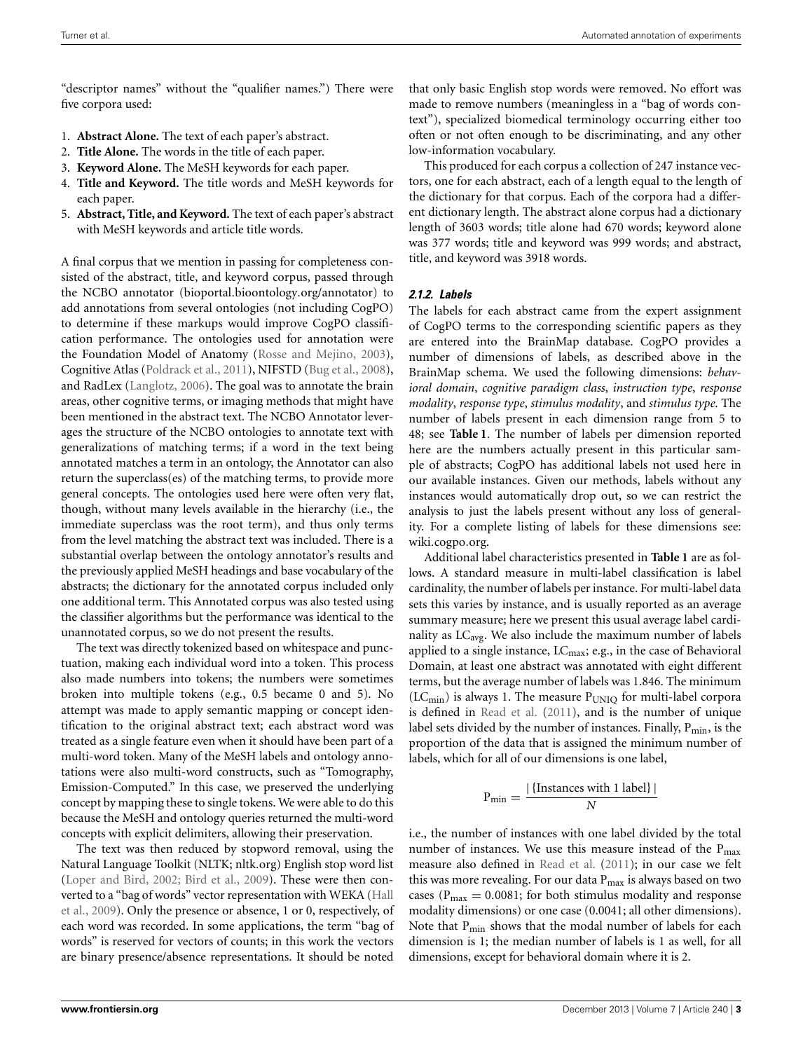"descriptor names" without the "qualifier names.") There were five corpora used:

- 1. **Abstract Alone.** The text of each paper's abstract.
- 2. **Title Alone.** The words in the title of each paper.
- 3. **Keyword Alone.** The MeSH keywords for each paper.
- 4. **Title and Keyword.** The title words and MeSH keywords for each paper.
- 5. **Abstract, Title, and Keyword.** The text of each paper's abstract with MeSH keywords and article title words.

A final corpus that we mention in passing for completeness consisted of the abstract, title, and keyword corpus, passed through the NCBO annotator (bioportal.bioontology.[org/annotator\)](bioportal.bioontology.org/annotator) to add annotations from several ontologies (not including CogPO) to determine if these markups would improve CogPO classification performance. The ontologies used for annotation were the Foundation Model of Anatomy [\(Rosse and Mejino, 2003](#page-12-10)), Cognitive Atlas [\(Poldrack et al.](#page-12-11), [2011\)](#page-12-11), NIFSTD [\(Bug et al., 2008](#page-11-8)), and RadLex [\(Langlotz](#page-12-12), [2006\)](#page-12-12). The goal was to annotate the brain areas, other cognitive terms, or imaging methods that might have been mentioned in the abstract text. The NCBO Annotator leverages the structure of the NCBO ontologies to annotate text with generalizations of matching terms; if a word in the text being annotated matches a term in an ontology, the Annotator can also return the superclass(es) of the matching terms, to provide more general concepts. The ontologies used here were often very flat, though, without many levels available in the hierarchy (i.e., the immediate superclass was the root term), and thus only terms from the level matching the abstract text was included. There is a substantial overlap between the ontology annotator's results and the previously applied MeSH headings and base vocabulary of the abstracts; the dictionary for the annotated corpus included only one additional term. This Annotated corpus was also tested using the classifier algorithms but the performance was identical to the unannotated corpus, so we do not present the results.

The text was directly tokenized based on whitespace and punctuation, making each individual word into a token. This process also made numbers into tokens; the numbers were sometimes broken into multiple tokens (e.g., 0.5 became 0 and 5). No attempt was made to apply semantic mapping or concept identification to the original abstract text; each abstract word was treated as a single feature even when it should have been part of a multi-word token. Many of the MeSH labels and ontology annotations were also multi-word constructs, such as "Tomography, Emission-Computed." In this case, we preserved the underlying concept by mapping these to single tokens. We were able to do this because the MeSH and ontology queries returned the multi-word concepts with explicit delimiters, allowing their preservation.

The text was then reduced by stopword removal, using the Natural Language Toolkit (NLTK; [nltk](nltk.org).org) English stop word list [\(Loper and Bird](#page-12-13), [2002;](#page-12-13) [Bird et al., 2009](#page-11-9)). These were then convert[ed](#page-11-10) [to](#page-11-10) [a](#page-11-10) ["bag](#page-11-10) [of](#page-11-10) [words"](#page-11-10) [vector](#page-11-10) [representation](#page-11-10) [with](#page-11-10) [WEKA](#page-11-10) [\(](#page-11-10)Hall et al., [2009](#page-11-10)). Only the presence or absence, 1 or 0, respectively, of each word was recorded. In some applications, the term "bag of words" is reserved for vectors of counts; in this work the vectors are binary presence/absence representations. It should be noted

that only basic English stop words were removed. No effort was made to remove numbers (meaningless in a "bag of words context"), specialized biomedical terminology occurring either too often or not often enough to be discriminating, and any other low-information vocabulary.

This produced for each corpus a collection of 247 instance vectors, one for each abstract, each of a length equal to the length of the dictionary for that corpus. Each of the corpora had a different dictionary length. The abstract alone corpus had a dictionary length of 3603 words; title alone had 670 words; keyword alone was 377 words; title and keyword was 999 words; and abstract, title, and keyword was 3918 words.

# <span id="page-2-0"></span>*2.1.2. Labels*

The labels for each abstract came from the expert assignment of CogPO terms to the corresponding scientific papers as they are entered into the BrainMap database. CogPO provides a number of dimensions of labels, as described above in the BrainMap schema. We used the following dimensions: *behavioral domain*, *cognitive paradigm class*, *instruction type*, *response modality*, *response type*, *stimulus modality*, and *stimulus type*. The number of labels present in each dimension range from 5 to 48; see **[Table 1](#page-3-0)**. The number of labels per dimension reported here are the numbers actually present in this particular sample of abstracts; CogPO has additional labels not used here in our available instances. Given our methods, labels without any instances would automatically drop out, so we can restrict the analysis to just the labels present without any loss of generality. For a complete listing of labels for these dimensions see: wiki.[cogpo](wiki.cogpo.org).org.

Additional label characteristics presented in **[Table 1](#page-3-0)** are as follows. A standard measure in multi-label classification is label cardinality, the number of labels per instance. For multi-label data sets this varies by instance, and is usually reported as an average summary measure; here we present this usual average label cardinality as  $LC_{avg}$ . We also include the maximum number of labels applied to a single instance,  $LC_{\text{max}}$ ; e.g., in the case of Behavioral Domain, at least one abstract was annotated with eight different terms, but the average number of labels was 1.846. The minimum  $(LC<sub>min</sub>)$  is always 1. The measure  $P<sub>UNIO</sub>$  for multi-label corpora is defined in [Read et al.](#page-12-14) [\(2011](#page-12-14)), and is the number of unique label sets divided by the number of instances. Finally,  $P_{\text{min}}$ , is the proportion of the data that is assigned the minimum number of labels, which for all of our dimensions is one label,

$$
P_{\min} = \frac{|\{\text{Instantces with 1 label}\}|}{N}
$$

i.e., the number of instances with one label divided by the total number of instances. We use this measure instead of the  $P_{\text{max}}$ measure also defined in [Read et al.](#page-12-14) [\(2011](#page-12-14)); in our case we felt this was more revealing. For our data  $P_{\text{max}}$  is always based on two cases ( $P_{\text{max}} = 0.0081$ ; for both stimulus modality and response modality dimensions) or one case (0.0041; all other dimensions). Note that P<sub>min</sub> shows that the modal number of labels for each dimension is 1; the median number of labels is 1 as well, for all dimensions, except for behavioral domain where it is 2.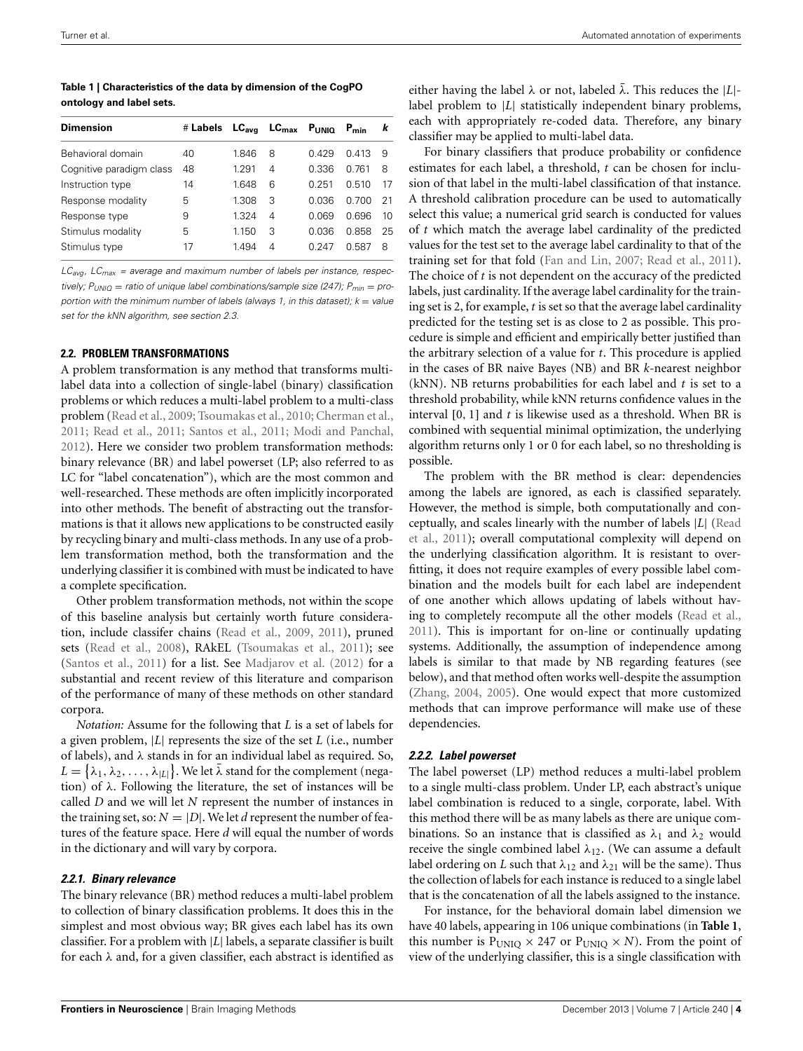<span id="page-3-0"></span>**Table 1 | Characteristics of the data by dimension of the CogPO ontology and label sets.**

| <b>Dimension</b>         | # Labels | $\mathsf{LC}_{\mathsf{ava}}$ |                | $LC_{\text{max}}$ $P_{\text{UNIO}}$ | $P_{min}$    | k  |
|--------------------------|----------|------------------------------|----------------|-------------------------------------|--------------|----|
| Behavioral domain        | 40       | 1846                         | 8              | 0.429                               | 0.413        | 9  |
| Cognitive paradigm class | 48       | 1 291                        | 4              | 0.336                               | በ 761        | 8  |
| Instruction type         | 14       | 1648                         | 6              | በ 251                               | 0.510        | 17 |
| Response modality        | 5        | 1.308                        | 3              | 0.036                               | <u>በ 700</u> | 21 |
| Response type            | 9        | 1324                         | $\overline{4}$ | 0.069                               | 0.696        | 10 |
| Stimulus modality        | 5        | 1.150                        | 3              | 0.036                               | 0.858        | 25 |
| Stimulus type            | 17       | 1.494                        | 4              | በ 247                               | 0.587        | 8  |
|                          |          |                              |                |                                     |              |    |

*LCavg, LCmax = average and maximum number of labels per instance, respectively;*  $P_{UNIO}$  = *ratio of unique label combinations/sample size (247);*  $P_{min}$  = *proportion with the minimum number of labels (always 1, in this dataset); k = value set for the kNN algorithm, see section 2.3.*

## <span id="page-3-1"></span>**2.2. PROBLEM TRANSFORMATIONS**

A problem transformation is any method that transforms multilabel data into a collection of single-label (binary) classification problems or which reduces a multi-label problem to a multi-class problem [\(Read et al., 2009;](#page-12-15) [Tsoumakas et al.](#page-12-8), [2010](#page-12-8); [Cherman et al.](#page-11-11), [2011](#page-11-11); [Read et al., 2011;](#page-12-14) [Santos et al.](#page-12-16), [2011](#page-12-16); [Modi and Panchal,](#page-12-17) [2012](#page-12-17)). Here we consider two problem transformation methods: binary relevance (BR) and label powerset (LP; also referred to as LC for "label concatenation"), which are the most common and well-researched. These methods are often implicitly incorporated into other methods. The benefit of abstracting out the transformations is that it allows new applications to be constructed easily by recycling binary and multi-class methods. In any use of a problem transformation method, both the transformation and the underlying classifier it is combined with must be indicated to have a complete specification.

Other problem transformation methods, not within the scope of this baseline analysis but certainly worth future consideration, include classifer chains [\(Read et al., 2009](#page-12-15), [2011](#page-12-14)), pruned sets [\(Read et al., 2008](#page-12-18)), RAkEL [\(Tsoumakas et al., 2011](#page-12-19)); see [\(Santos et al.](#page-12-16), [2011](#page-12-16)) for a list. See [Madjarov et al.](#page-12-9) [\(2012](#page-12-9)) for a substantial and recent review of this literature and comparison of the performance of many of these methods on other standard corpora.

*Notation:* Assume for the following that *L* is a set of labels for a given problem, |*L*| represents the size of the set *L* (i.e., number of labels), and λ stands in for an individual label as required. So,  $L = \{\lambda_1, \lambda_2, \ldots, \lambda_{|L|}\}$ . We let  $\bar{\lambda}$  stand for the complement (negation) of  $\lambda$ . Following the literature, the set of instances will be called *D* and we will let *N* represent the number of instances in the training set, so:  $N = |D|$ . We let *d* represent the number of features of the feature space. Here *d* will equal the number of words in the dictionary and will vary by corpora.

# <span id="page-3-2"></span>*2.2.1. Binary relevance*

The binary relevance (BR) method reduces a multi-label problem to collection of binary classification problems. It does this in the simplest and most obvious way; BR gives each label has its own classifier. For a problem with |*L*| labels, a separate classifier is built for each  $\lambda$  and, for a given classifier, each abstract is identified as

either having the label  $\lambda$  or not, labeled  $\bar{\lambda}$ . This reduces the |*L*|label problem to |*L*| statistically independent binary problems, each with appropriately re-coded data. Therefore, any binary classifier may be applied to multi-label data.

For binary classifiers that produce probability or confidence estimates for each label, a threshold, *t* can be chosen for inclusion of that label in the multi-label classification of that instance. A threshold calibration procedure can be used to automatically select this value; a numerical grid search is conducted for values of *t* which match the average label cardinality of the predicted values for the test set to the average label cardinality to that of the training set for that fold [\(Fan and Lin, 2007;](#page-11-12) [Read et al.](#page-12-14), [2011\)](#page-12-14). The choice of *t* is not dependent on the accuracy of the predicted labels, just cardinality. If the average label cardinality for the training set is 2, for example, *t* is set so that the average label cardinality predicted for the testing set is as close to 2 as possible. This procedure is simple and efficient and empirically better justified than the arbitrary selection of a value for *t*. This procedure is applied in the cases of BR naive Bayes (NB) and BR *k*-nearest neighbor (kNN). NB returns probabilities for each label and *t* is set to a threshold probability, while kNN returns confidence values in the interval [0, 1] and *t* is likewise used as a threshold. When BR is combined with sequential minimal optimization, the underlying algorithm returns only 1 or 0 for each label, so no thresholding is possible.

The problem with the BR method is clear: dependencies among the labels are ignored, as each is classified separately. However, the method is simple, both computationally and concept[ually, and scales linearly with the number of labels](#page-12-14) |*L*| (Read et al., [2011\)](#page-12-14); overall computational complexity will depend on the underlying classification algorithm. It is resistant to overfitting, it does not require examples of every possible label combination and the models built for each label are independent of one another which allows updating of labels without having to completely recompute all the other models [\(Read et al.](#page-12-14), [2011](#page-12-14)). This is important for on-line or continually updating systems. Additionally, the assumption of independence among labels is similar to that made by NB regarding features (see below), and that method often works well-despite the assumption [\(Zhang](#page-12-20), [2004](#page-12-20), [2005](#page-12-21)). One would expect that more customized methods that can improve performance will make use of these dependencies.

#### *2.2.2. Label powerset*

The label powerset (LP) method reduces a multi-label problem to a single multi-class problem. Under LP, each abstract's unique label combination is reduced to a single, corporate, label. With this method there will be as many labels as there are unique combinations. So an instance that is classified as  $\lambda_1$  and  $\lambda_2$  would receive the single combined label  $\lambda_{12}$ . (We can assume a default label ordering on *L* such that  $\lambda_{12}$  and  $\lambda_{21}$  will be the same). Thus the collection of labels for each instance is reduced to a single label that is the concatenation of all the labels assigned to the instance.

For instance, for the behavioral domain label dimension we have 40 labels, appearing in 106 unique combinations (in **[Table 1](#page-3-0)**, this number is  $P<sub>UNIO</sub> \times 247$  or  $P<sub>UNIO</sub> \times N$ ). From the point of view of the underlying classifier, this is a single classification with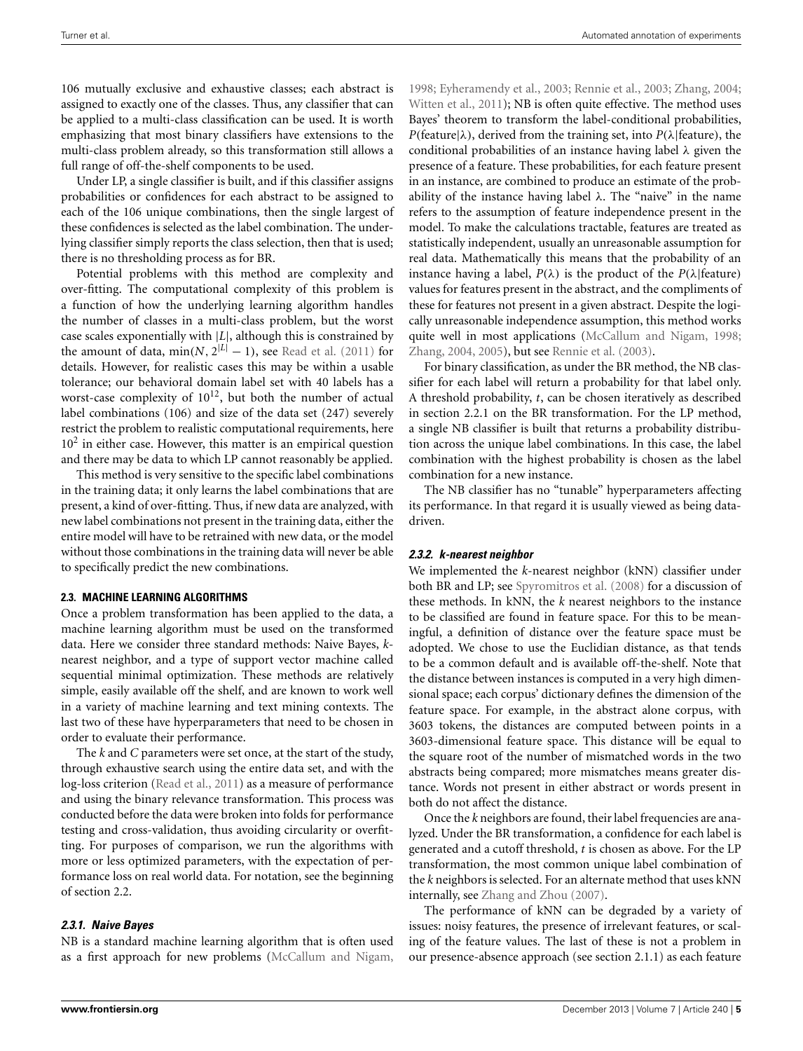106 mutually exclusive and exhaustive classes; each abstract is assigned to exactly one of the classes. Thus, any classifier that can be applied to a multi-class classification can be used. It is worth emphasizing that most binary classifiers have extensions to the multi-class problem already, so this transformation still allows a full range of off-the-shelf components to be used.

Under LP, a single classifier is built, and if this classifier assigns probabilities or confidences for each abstract to be assigned to each of the 106 unique combinations, then the single largest of these confidences is selected as the label combination. The underlying classifier simply reports the class selection, then that is used; there is no thresholding process as for BR.

Potential problems with this method are complexity and over-fitting. The computational complexity of this problem is a function of how the underlying learning algorithm handles the number of classes in a multi-class problem, but the worst case scales exponentially with |*L*|, although this is constrained by the amount of data, min( $N$ ,  $2^{|L|} - 1$ ), see [Read et al.](#page-12-14) [\(2011](#page-12-14)) for details. However, for realistic cases this may be within a usable tolerance; our behavioral domain label set with 40 labels has a worst-case complexity of  $10^{12}$ , but both the number of actual label combinations (106) and size of the data set (247) severely restrict the problem to realistic computational requirements, here  $10<sup>2</sup>$  in either case. However, this matter is an empirical question and there may be data to which LP cannot reasonably be applied.

This method is very sensitive to the specific label combinations in the training data; it only learns the label combinations that are present, a kind of over-fitting. Thus, if new data are analyzed, with new label combinations not present in the training data, either the entire model will have to be retrained with new data, or the model without those combinations in the training data will never be able to specifically predict the new combinations.

## **2.3. MACHINE LEARNING ALGORITHMS**

Once a problem transformation has been applied to the data, a machine learning algorithm must be used on the transformed data. Here we consider three standard methods: Naive Bayes, *k*nearest neighbor, and a type of support vector machine called sequential minimal optimization. These methods are relatively simple, easily available off the shelf, and are known to work well in a variety of machine learning and text mining contexts. The last two of these have hyperparameters that need to be chosen in order to evaluate their performance.

The *k* and *C* parameters were set once, at the start of the study, through exhaustive search using the entire data set, and with the log-loss criterion [\(Read et al., 2011](#page-12-14)) as a measure of performance and using the binary relevance transformation. This process was conducted before the data were broken into folds for performance testing and cross-validation, thus avoiding circularity or overfitting. For purposes of comparison, we run the algorithms with more or less optimized parameters, with the expectation of performance loss on real world data. For notation, see the beginning of section [2.2.](#page-3-1)

# *2.3.1. Naive Bayes*

NB is a standard machine learning algorithm that is often used as a first approach for new problems [\(McCallum and Nigam,](#page-12-22)

[1998](#page-12-22); [Eyheramendy et al., 2003](#page-11-13); [Rennie et al., 2003;](#page-12-23) [Zhang, 2004;](#page-12-20) [Witten et al., 2011\)](#page-12-24); NB is often quite effective. The method uses Bayes' theorem to transform the label-conditional probabilities, *P*(feature| $\lambda$ ), derived from the training set, into *P*( $\lambda$ |feature), the conditional probabilities of an instance having label  $\lambda$  given the presence of a feature. These probabilities, for each feature present in an instance, are combined to produce an estimate of the probability of the instance having label  $\lambda$ . The "naive" in the name refers to the assumption of feature independence present in the model. To make the calculations tractable, features are treated as statistically independent, usually an unreasonable assumption for real data. Mathematically this means that the probability of an instance having a label,  $P(\lambda)$  is the product of the  $P(\lambda)$  feature) values for features present in the abstract, and the compliments of these for features not present in a given abstract. Despite the logically unreasonable independence assumption, this method works quite well in most applications [\(McCallum and Nigam, 1998;](#page-12-22) [Zhang, 2004](#page-12-20), [2005](#page-12-21)), but see [Rennie et al.](#page-12-23) [\(2003](#page-12-23)).

For binary classification, as under the BR method, the NB classifier for each label will return a probability for that label only. A threshold probability, *t*, can be chosen iteratively as described in section [2.2.1](#page-3-2) on the BR transformation. For the LP method, a single NB classifier is built that returns a probability distribution across the unique label combinations. In this case, the label combination with the highest probability is chosen as the label combination for a new instance.

The NB classifier has no "tunable" hyperparameters affecting its performance. In that regard it is usually viewed as being datadriven.

#### *2.3.2. k-nearest neighbor*

We implemented the *k*-nearest neighbor (kNN) classifier under both BR and LP; see [Spyromitros et al.](#page-12-25) [\(2008](#page-12-25)) for a discussion of these methods. In kNN, the *k* nearest neighbors to the instance to be classified are found in feature space. For this to be meaningful, a definition of distance over the feature space must be adopted. We chose to use the Euclidian distance, as that tends to be a common default and is available off-the-shelf. Note that the distance between instances is computed in a very high dimensional space; each corpus' dictionary defines the dimension of the feature space. For example, in the abstract alone corpus, with 3603 tokens, the distances are computed between points in a 3603-dimensional feature space. This distance will be equal to the square root of the number of mismatched words in the two abstracts being compared; more mismatches means greater distance. Words not present in either abstract or words present in both do not affect the distance.

Once the *k* neighbors are found, their label frequencies are analyzed. Under the BR transformation, a confidence for each label is generated and a cutoff threshold, *t* is chosen as above. For the LP transformation, the most common unique label combination of the *k* neighbors is selected. For an alternate method that uses kNN internally, see [Zhang and Zhou](#page-12-26) [\(2007\)](#page-12-26).

The performance of kNN can be degraded by a variety of issues: noisy features, the presence of irrelevant features, or scaling of the feature values. The last of these is not a problem in our presence-absence approach (see section [2.1.1\)](#page-1-0) as each feature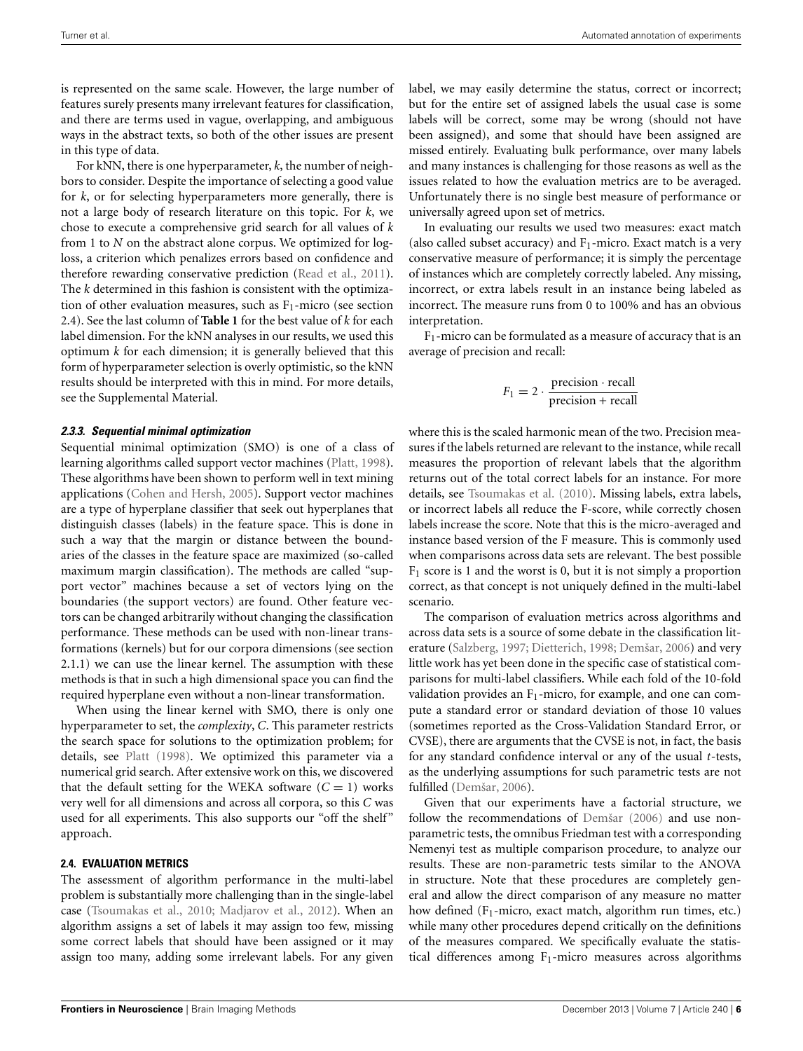is represented on the same scale. However, the large number of features surely presents many irrelevant features for classification, and there are terms used in vague, overlapping, and ambiguous ways in the abstract texts, so both of the other issues are present in this type of data.

For kNN, there is one hyperparameter, *k*, the number of neighbors to consider. Despite the importance of selecting a good value for *k*, or for selecting hyperparameters more generally, there is not a large body of research literature on this topic. For *k*, we chose to execute a comprehensive grid search for all values of *k* from 1 to *N* on the abstract alone corpus. We optimized for logloss, a criterion which penalizes errors based on confidence and therefore rewarding conservative prediction [\(Read et al.](#page-12-14), [2011\)](#page-12-14). The *k* determined in this fashion is consistent with the optimization of other evaluation measures, such as  $F_1$ -micro (see section [2.4\)](#page-5-0). See the last column of **[Table 1](#page-3-0)** for the best value of *k* for each label dimension. For the kNN analyses in our results, we used this optimum *k* for each dimension; it is generally believed that this form of hyperparameter selection is overly optimistic, so the kNN results should be interpreted with this in mind. For more details, see the Supplemental Material.

#### *2.3.3. Sequential minimal optimization*

Sequential minimal optimization (SMO) is one of a class of learning algorithms called support vector machines [\(Platt](#page-12-27), [1998](#page-12-27)). These algorithms have been shown to perform well in text mining applications [\(Cohen and Hersh, 2005\)](#page-11-14). Support vector machines are a type of hyperplane classifier that seek out hyperplanes that distinguish classes (labels) in the feature space. This is done in such a way that the margin or distance between the boundaries of the classes in the feature space are maximized (so-called maximum margin classification). The methods are called "support vector" machines because a set of vectors lying on the boundaries (the support vectors) are found. Other feature vectors can be changed arbitrarily without changing the classification performance. These methods can be used with non-linear transformations (kernels) but for our corpora dimensions (see section [2.1.1\)](#page-1-0) we can use the linear kernel. The assumption with these methods is that in such a high dimensional space you can find the required hyperplane even without a non-linear transformation.

When using the linear kernel with SMO, there is only one hyperparameter to set, the *complexity*, *C*. This parameter restricts the search space for solutions to the optimization problem; for details, see [Platt](#page-12-27) [\(1998\)](#page-12-27). We optimized this parameter via a numerical grid search. After extensive work on this, we discovered that the default setting for the WEKA software  $(C = 1)$  works very well for all dimensions and across all corpora, so this *C* was used for all experiments. This also supports our "off the shelf" approach.

#### <span id="page-5-0"></span>**2.4. EVALUATION METRICS**

The assessment of algorithm performance in the multi-label problem is substantially more challenging than in the single-label case [\(Tsoumakas et al.](#page-12-8), [2010](#page-12-8); [Madjarov et al.](#page-12-9), [2012\)](#page-12-9). When an algorithm assigns a set of labels it may assign too few, missing some correct labels that should have been assigned or it may assign too many, adding some irrelevant labels. For any given

label, we may easily determine the status, correct or incorrect; but for the entire set of assigned labels the usual case is some labels will be correct, some may be wrong (should not have been assigned), and some that should have been assigned are missed entirely. Evaluating bulk performance, over many labels and many instances is challenging for those reasons as well as the issues related to how the evaluation metrics are to be averaged. Unfortunately there is no single best measure of performance or universally agreed upon set of metrics.

In evaluating our results we used two measures: exact match (also called subset accuracy) and  $F_1$ -micro. Exact match is a very conservative measure of performance; it is simply the percentage of instances which are completely correctly labeled. Any missing, incorrect, or extra labels result in an instance being labeled as incorrect. The measure runs from 0 to 100% and has an obvious interpretation.

 $F_1$ -micro can be formulated as a measure of accuracy that is an average of precision and recall:

$$
F_1 = 2 \cdot \frac{\text{precision} \cdot \text{recall}}{\text{precision} + \text{recall}}
$$

where this is the scaled harmonic mean of the two. Precision measures if the labels returned are relevant to the instance, while recall measures the proportion of relevant labels that the algorithm returns out of the total correct labels for an instance. For more details, see [Tsoumakas et al.](#page-12-8) [\(2010](#page-12-8)). Missing labels, extra labels, or incorrect labels all reduce the F-score, while correctly chosen labels increase the score. Note that this is the micro-averaged and instance based version of the F measure. This is commonly used when comparisons across data sets are relevant. The best possible  $F_1$  score is 1 and the worst is 0, but it is not simply a proportion correct, as that concept is not uniquely defined in the multi-label scenario.

The comparison of evaluation metrics across algorithms and across data sets is a source of some debate in the classification literature [\(Salzberg](#page-12-28), [1997;](#page-12-28) [Dietterich, 1998](#page-11-15); [Demšar](#page-11-16), [2006\)](#page-11-16) and very little work has yet been done in the specific case of statistical comparisons for multi-label classifiers. While each fold of the 10-fold validation provides an  $F_1$ -micro, for example, and one can compute a standard error or standard deviation of those 10 values (sometimes reported as the Cross-Validation Standard Error, or CVSE), there are arguments that the CVSE is not, in fact, the basis for any standard confidence interval or any of the usual *t*-tests, as the underlying assumptions for such parametric tests are not fulfilled [\(Demšar, 2006\)](#page-11-16).

Given that our experiments have a factorial structure, we follow the recommendations of [Demšar](#page-11-16) [\(2006](#page-11-16)) and use nonparametric tests, the omnibus Friedman test with a corresponding Nemenyi test as multiple comparison procedure, to analyze our results. These are non-parametric tests similar to the ANOVA in structure. Note that these procedures are completely general and allow the direct comparison of any measure no matter how defined  $(F_1$ -micro, exact match, algorithm run times, etc.) while many other procedures depend critically on the definitions of the measures compared. We specifically evaluate the statistical differences among  $F_1$ -micro measures across algorithms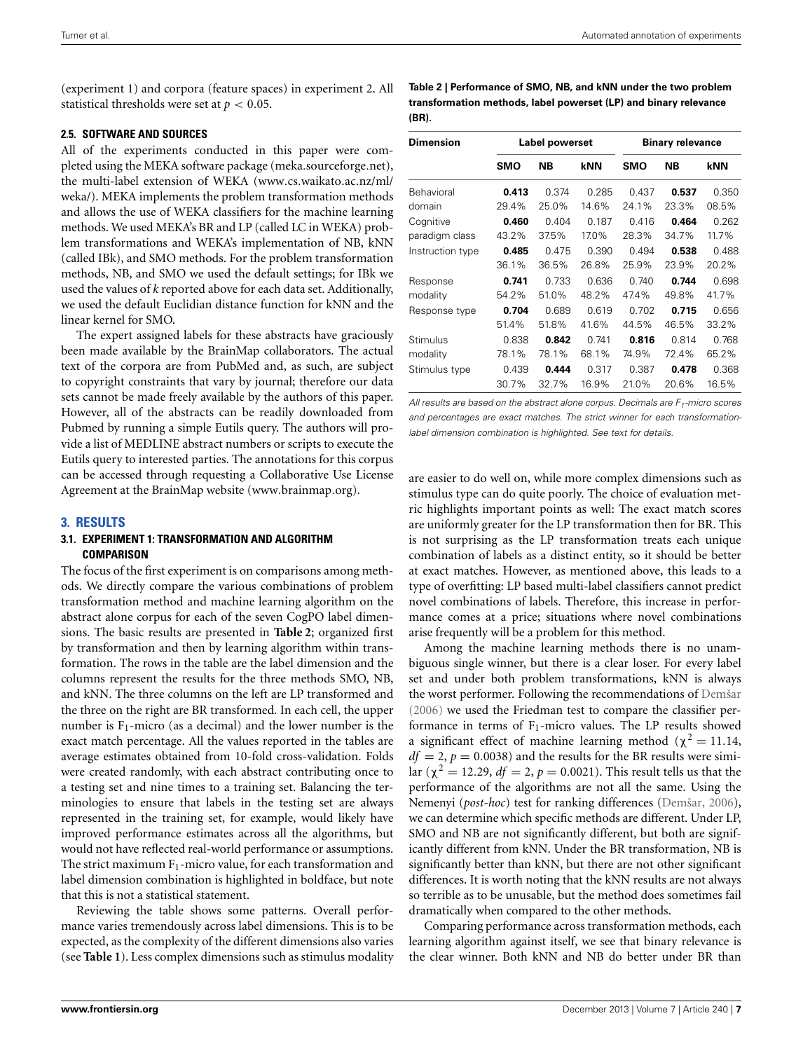(experiment 1) and corpora (feature spaces) in experiment 2. All statistical thresholds were set at *p* < 0.05.

# **2.5. SOFTWARE AND SOURCES**

All of the experiments conducted in this paper were completed using the MEKA software package (meka.[sourceforge](meka.sourceforge.net).net), the multi-label extension of WEKA (www.cs.[waikato](www.cs.waikato.ac.nz/ml/weka/).ac.nz/ml/ [weka/\)](www.cs.waikato.ac.nz/ml/weka/). MEKA implements the problem transformation methods and allows the use of WEKA classifiers for the machine learning methods. We used MEKA's BR and LP (called LC in WEKA) problem transformations and WEKA's implementation of NB, kNN (called IBk), and SMO methods. For the problem transformation methods, NB, and SMO we used the default settings; for IBk we used the values of *k* reported above for each data set. Additionally, we used the default Euclidian distance function for kNN and the linear kernel for SMO.

The expert assigned labels for these abstracts have graciously been made available by the BrainMap collaborators. The actual text of the corpora are from PubMed and, as such, are subject to copyright constraints that vary by journal; therefore our data sets cannot be made freely available by the authors of this paper. However, all of the abstracts can be readily downloaded from Pubmed by running a simple Eutils query. The authors will provide a list of MEDLINE abstract numbers or scripts to execute the Eutils query to interested parties. The annotations for this corpus can be accessed through requesting a Collaborative Use License Agreement at the BrainMap website (www.[brainmap](www.brainmap.org).org).

# **3. RESULTS**

# **3.1. EXPERIMENT 1: TRANSFORMATION AND ALGORITHM COMPARISON**

The focus of the first experiment is on comparisons among methods. We directly compare the various combinations of problem transformation method and machine learning algorithm on the abstract alone corpus for each of the seven CogPO label dimensions. The basic results are presented in **[Table 2](#page-6-0)**; organized first by transformation and then by learning algorithm within transformation. The rows in the table are the label dimension and the columns represent the results for the three methods SMO, NB, and kNN. The three columns on the left are LP transformed and the three on the right are BR transformed. In each cell, the upper number is  $F_1$ -micro (as a decimal) and the lower number is the exact match percentage. All the values reported in the tables are average estimates obtained from 10-fold cross-validation. Folds were created randomly, with each abstract contributing once to a testing set and nine times to a training set. Balancing the terminologies to ensure that labels in the testing set are always represented in the training set, for example, would likely have improved performance estimates across all the algorithms, but would not have reflected real-world performance or assumptions. The strict maximum  $F_1$ -micro value, for each transformation and label dimension combination is highlighted in boldface, but note that this is not a statistical statement.

Reviewing the table shows some patterns. Overall performance varies tremendously across label dimensions. This is to be expected, as the complexity of the different dimensions also varies (see **[Table 1](#page-3-0)**). Less complex dimensions such as stimulus modality <span id="page-6-0"></span>**Table 2 | Performance of SMO, NB, and kNN under the two problem transformation methods, label powerset (LP) and binary relevance (BR).**

| <b>Dimension</b> | Label powerset |           |       | <b>Binary relevance</b> |           |       |  |
|------------------|----------------|-----------|-------|-------------------------|-----------|-------|--|
|                  | <b>SMO</b>     | <b>NB</b> | kNN   | <b>SMO</b>              | <b>NB</b> | kNN   |  |
| Behavioral       | 0.413          | 0.374     | 0.285 | 0.437                   | 0.537     | 0.350 |  |
| domain           | 29.4%          | 25.0%     | 14.6% | 24.1%                   | 23.3%     | 08.5% |  |
| Cognitive        | 0.460          | 0.404     | 0.187 | 0.416                   | 0.464     | 0.262 |  |
| paradigm class   | 43.2%          | 37.5%     | 17.0% | 28.3%                   | 34.7%     | 11.7% |  |
| Instruction type | 0.485          | 0.475     | 0.390 | 0.494                   | 0.538     | 0.488 |  |
|                  | 36.1%          | 36.5%     | 26.8% | 25.9%                   | 23.9%     | 20.2% |  |
| Response         | 0.741          | 0.733     | 0.636 | 0.740                   | 0.744     | 0.698 |  |
| modality         | 54.2%          | 51.0%     | 48.2% | 47.4%                   | 49.8%     | 41.7% |  |
| Response type    | 0.704          | 0.689     | 0.619 | 0.702                   | 0.715     | 0.656 |  |
|                  | 51.4%          | 51.8%     | 41.6% | 44.5%                   | 46.5%     | 33.2% |  |
| Stimulus         | 0.838          | 0.842     | 0.741 | 0.816                   | 0.814     | 0.768 |  |
| modality         | 78.1%          | 78.1%     | 68.1% | 74.9%                   | 72.4%     | 65.2% |  |
| Stimulus type    | 0.439          | 0.444     | 0.317 | 0.387                   | 0.478     | 0.368 |  |
|                  | 30.7%          | 32.7%     | 16.9% | 21.0%                   | 20.6%     | 16.5% |  |

*All results are based on the abstract alone corpus. Decimals are F1-micro scores and percentages are exact matches. The strict winner for each transformationlabel dimension combination is highlighted. See text for details.*

are easier to do well on, while more complex dimensions such as stimulus type can do quite poorly. The choice of evaluation metric highlights important points as well: The exact match scores are uniformly greater for the LP transformation then for BR. This is not surprising as the LP transformation treats each unique combination of labels as a distinct entity, so it should be better at exact matches. However, as mentioned above, this leads to a type of overfitting: LP based multi-label classifiers cannot predict novel combinations of labels. Therefore, this increase in performance comes at a price; situations where novel combinations arise frequently will be a problem for this method.

Among the machine learning methods there is no unambiguous single winner, but there is a clear loser. For every label set and under both problem transformations, kNN is always the worst performer. Following the recommendations of [Demšar](#page-11-16) [\(2006\)](#page-11-16) we used the Friedman test to compare the classifier performance in terms of  $F_1$ -micro values. The LP results showed a significant effect of machine learning method ( $\chi^2 = 11.14$ ,  $df = 2$ ,  $p = 0.0038$ ) and the results for the BR results were similar ( $\chi^2$  = 12.29, *df* = 2, *p* = 0.0021). This result tells us that the performance of the algorithms are not all the same. Using the Nemenyi (*post-hoc*) test for ranking differences [\(Demšar, 2006](#page-11-16)), we can determine which specific methods are different. Under LP, SMO and NB are not significantly different, but both are significantly different from kNN. Under the BR transformation, NB is significantly better than kNN, but there are not other significant differences. It is worth noting that the kNN results are not always so terrible as to be unusable, but the method does sometimes fail dramatically when compared to the other methods.

Comparing performance across transformation methods, each learning algorithm against itself, we see that binary relevance is the clear winner. Both kNN and NB do better under BR than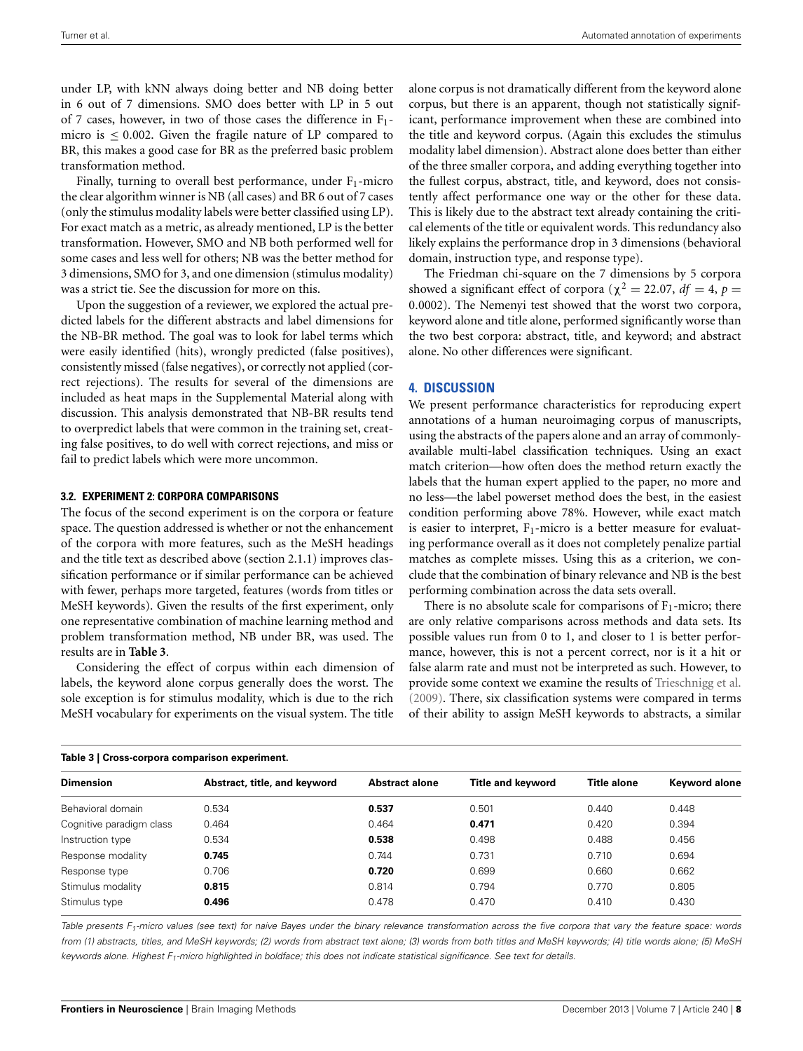under LP, with kNN always doing better and NB doing better in 6 out of 7 dimensions. SMO does better with LP in 5 out of 7 cases, however, in two of those cases the difference in F1 micro is  $\leq 0.002$ . Given the fragile nature of LP compared to BR, this makes a good case for BR as the preferred basic problem transformation method.

Finally, turning to overall best performance, under  $F_1$ -micro the clear algorithm winner is NB (all cases) and BR 6 out of 7 cases (only the stimulus modality labels were better classified using LP). For exact match as a metric, as already mentioned, LP is the better transformation. However, SMO and NB both performed well for some cases and less well for others; NB was the better method for 3 dimensions, SMO for 3, and one dimension (stimulus modality) was a strict tie. See the discussion for more on this.

Upon the suggestion of a reviewer, we explored the actual predicted labels for the different abstracts and label dimensions for the NB-BR method. The goal was to look for label terms which were easily identified (hits), wrongly predicted (false positives), consistently missed (false negatives), or correctly not applied (correct rejections). The results for several of the dimensions are included as heat maps in the Supplemental Material along with discussion. This analysis demonstrated that NB-BR results tend to overpredict labels that were common in the training set, creating false positives, to do well with correct rejections, and miss or fail to predict labels which were more uncommon.

#### **3.2. EXPERIMENT 2: CORPORA COMPARISONS**

The focus of the second experiment is on the corpora or feature space. The question addressed is whether or not the enhancement of the corpora with more features, such as the MeSH headings and the title text as described above (section [2.1.1\)](#page-1-0) improves classification performance or if similar performance can be achieved with fewer, perhaps more targeted, features (words from titles or MeSH keywords). Given the results of the first experiment, only one representative combination of machine learning method and problem transformation method, NB under BR, was used. The results are in **[Table 3](#page-7-0)**.

Considering the effect of corpus within each dimension of labels, the keyword alone corpus generally does the worst. The sole exception is for stimulus modality, which is due to the rich MeSH vocabulary for experiments on the visual system. The title

alone corpus is not dramatically different from the keyword alone corpus, but there is an apparent, though not statistically significant, performance improvement when these are combined into the title and keyword corpus. (Again this excludes the stimulus modality label dimension). Abstract alone does better than either of the three smaller corpora, and adding everything together into the fullest corpus, abstract, title, and keyword, does not consistently affect performance one way or the other for these data. This is likely due to the abstract text already containing the critical elements of the title or equivalent words. This redundancy also likely explains the performance drop in 3 dimensions (behavioral domain, instruction type, and response type).

The Friedman chi-square on the 7 dimensions by 5 corpora showed a significant effect of corpora ( $\chi^2 = 22.07$ ,  $df = 4$ ,  $p =$ 0.0002). The Nemenyi test showed that the worst two corpora, keyword alone and title alone, performed significantly worse than the two best corpora: abstract, title, and keyword; and abstract alone. No other differences were significant.

#### **4. DISCUSSION**

We present performance characteristics for reproducing expert annotations of a human neuroimaging corpus of manuscripts, using the abstracts of the papers alone and an array of commonlyavailable multi-label classification techniques. Using an exact match criterion—how often does the method return exactly the labels that the human expert applied to the paper, no more and no less—the label powerset method does the best, in the easiest condition performing above 78%. However, while exact match is easier to interpret,  $F_1$ -micro is a better measure for evaluating performance overall as it does not completely penalize partial matches as complete misses. Using this as a criterion, we conclude that the combination of binary relevance and NB is the best performing combination across the data sets overall.

There is no absolute scale for comparisons of  $F_1$ -micro; there are only relative comparisons across methods and data sets. Its possible values run from 0 to 1, and closer to 1 is better performance, however, this is not a percent correct, nor is it a hit or false alarm rate and must not be interpreted as such. However, to provide some context we examine the results of [Trieschnigg et al.](#page-12-0) [\(2009\)](#page-12-0). There, six classification systems were compared in terms of their ability to assign MeSH keywords to abstracts, a similar

<span id="page-7-0"></span>

| lable 3   Cross-corpora comparison experiment. |                              |                       |                          |                    |                      |  |  |
|------------------------------------------------|------------------------------|-----------------------|--------------------------|--------------------|----------------------|--|--|
| <b>Dimension</b>                               | Abstract, title, and keyword | <b>Abstract alone</b> | <b>Title and keyword</b> | <b>Title alone</b> | <b>Keyword alone</b> |  |  |
| Behavioral domain                              | 0.534                        | 0.537                 | 0.501                    | 0.440              | 0.448                |  |  |
| Cognitive paradigm class                       | 0.464                        | 0.464                 | 0.471                    | 0.420              | 0.394                |  |  |
| Instruction type                               | 0.534                        | 0.538                 | 0.498                    | 0.488              | 0.456                |  |  |
| Response modality                              | 0.745                        | 0.744                 | 0.731                    | 0.710              | 0.694                |  |  |
| Response type                                  | 0.706                        | 0.720                 | 0.699                    | 0.660              | 0.662                |  |  |
| Stimulus modality                              | 0.815                        | 0.814                 | 0.794                    | 0.770              | 0.805                |  |  |
| Stimulus type                                  | 0.496                        | 0.478                 | 0.470                    | 0.410              | 0.430                |  |  |

*Table presents F1-micro values (see text) for naive Bayes under the binary relevance transformation across the five corpora that vary the feature space: words from (1) abstracts, titles, and MeSH keywords; (2) words from abstract text alone; (3) words from both titles and MeSH keywords; (4) title words alone; (5) MeSH keywords alone. Highest F1-micro highlighted in boldface; this does not indicate statistical significance. See text for details.*

**Table 3 | Cross-corpora comparison experiment.**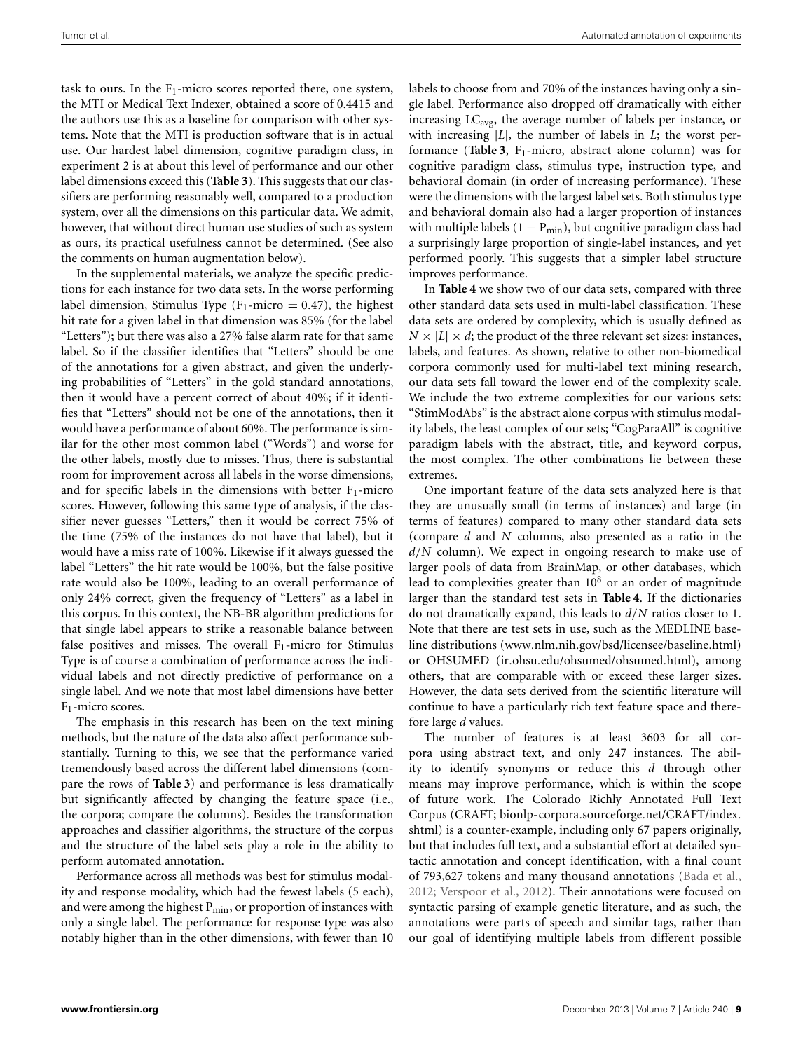task to ours. In the  $F_1$ -micro scores reported there, one system, the MTI or Medical Text Indexer, obtained a score of 0.4415 and the authors use this as a baseline for comparison with other systems. Note that the MTI is production software that is in actual use. Our hardest label dimension, cognitive paradigm class, in experiment 2 is at about this level of performance and our other label dimensions exceed this (**[Table 3](#page-7-0)**). This suggests that our classifiers are performing reasonably well, compared to a production system, over all the dimensions on this particular data. We admit, however, that without direct human use studies of such as system as ours, its practical usefulness cannot be determined. (See also the comments on human augmentation below).

In the supplemental materials, we analyze the specific predictions for each instance for two data sets. In the worse performing label dimension, Stimulus Type  $(F_1\text{-micro} = 0.47)$ , the highest hit rate for a given label in that dimension was 85% (for the label "Letters"); but there was also a 27% false alarm rate for that same label. So if the classifier identifies that "Letters" should be one of the annotations for a given abstract, and given the underlying probabilities of "Letters" in the gold standard annotations, then it would have a percent correct of about 40%; if it identifies that "Letters" should not be one of the annotations, then it would have a performance of about 60%. The performance is similar for the other most common label ("Words") and worse for the other labels, mostly due to misses. Thus, there is substantial room for improvement across all labels in the worse dimensions, and for specific labels in the dimensions with better  $F_1$ -micro scores. However, following this same type of analysis, if the classifier never guesses "Letters," then it would be correct 75% of the time (75% of the instances do not have that label), but it would have a miss rate of 100%. Likewise if it always guessed the label "Letters" the hit rate would be 100%, but the false positive rate would also be 100%, leading to an overall performance of only 24% correct, given the frequency of "Letters" as a label in this corpus. In this context, the NB-BR algorithm predictions for that single label appears to strike a reasonable balance between false positives and misses. The overall  $F_1$ -micro for Stimulus Type is of course a combination of performance across the individual labels and not directly predictive of performance on a single label. And we note that most label dimensions have better F1-micro scores.

The emphasis in this research has been on the text mining methods, but the nature of the data also affect performance substantially. Turning to this, we see that the performance varied tremendously based across the different label dimensions (compare the rows of **[Table 3](#page-7-0)**) and performance is less dramatically but significantly affected by changing the feature space (i.e., the corpora; compare the columns). Besides the transformation approaches and classifier algorithms, the structure of the corpus and the structure of the label sets play a role in the ability to perform automated annotation.

Performance across all methods was best for stimulus modality and response modality, which had the fewest labels (5 each), and were among the highest  $P_{\text{min}}$ , or proportion of instances with only a single label. The performance for response type was also notably higher than in the other dimensions, with fewer than 10 labels to choose from and 70% of the instances having only a single label. Performance also dropped off dramatically with either increasing LC<sub>avg</sub>, the average number of labels per instance, or with increasing |*L*|, the number of labels in *L*; the worst per-formance ([Table 3](#page-7-0), F<sub>1</sub>-micro, abstract alone column) was for cognitive paradigm class, stimulus type, instruction type, and behavioral domain (in order of increasing performance). These were the dimensions with the largest label sets. Both stimulus type and behavioral domain also had a larger proportion of instances with multiple labels ( $1 - P_{min}$ ), but cognitive paradigm class had a surprisingly large proportion of single-label instances, and yet performed poorly. This suggests that a simpler label structure improves performance.

In **[Table 4](#page-9-0)** we show two of our data sets, compared with three other standard data sets used in multi-label classification. These data sets are ordered by complexity, which is usually defined as  $N \times |L| \times d$ ; the product of the three relevant set sizes: instances, labels, and features. As shown, relative to other non-biomedical corpora commonly used for multi-label text mining research, our data sets fall toward the lower end of the complexity scale. We include the two extreme complexities for our various sets: "StimModAbs" is the abstract alone corpus with stimulus modality labels, the least complex of our sets; "CogParaAll" is cognitive paradigm labels with the abstract, title, and keyword corpus, the most complex. The other combinations lie between these extremes.

One important feature of the data sets analyzed here is that they are unusually small (in terms of instances) and large (in terms of features) compared to many other standard data sets (compare *d* and *N* columns, also presented as a ratio in the *d*/*N* column). We expect in ongoing research to make use of larger pools of data from BrainMap, or other databases, which lead to complexities greater than  $10<sup>8</sup>$  or an order of magnitude larger than the standard test sets in **[Table 4](#page-9-0)**. If the dictionaries do not dramatically expand, this leads to *d*/*N* ratios closer to 1. Note that there are test sets in use, such as the MEDLINE baseline distributions (www.nlm.nih.[gov/bsd/licensee/baseline](www.nlm.nih.gov/bsd/licensee/baseline.html).html) or OHSUMED (ir.ohsu.[edu/ohsumed/ohsumed](ir.ohsu.edu/ohsumed/ohsumed.html).html), among others, that are comparable with or exceed these larger sizes. However, the data sets derived from the scientific literature will continue to have a particularly rich text feature space and therefore large *d* values.

The number of features is at least 3603 for all corpora using abstract text, and only 247 instances. The ability to identify synonyms or reduce this *d* through other means may improve performance, which is within the scope of future work. The Colorado Richly Annotated Full Text Corpus (CRAFT; bionlp-corpora.sourceforge.[net/CRAFT/index](http://bionlp-corpora.sourceforge.net/CRAFT/index.shtml). [shtml\)](http://bionlp-corpora.sourceforge.net/CRAFT/index.shtml) is a counter-example, including only 67 papers originally, but that includes full text, and a substantial effort at detailed syntactic annotation and concept identification, with a final count of 793,627 tokens and many thousand annotations [\(Bada et al.,](#page-11-17) [2012](#page-11-17); [Verspoor et al., 2012](#page-12-29)). Their annotations were focused on syntactic parsing of example genetic literature, and as such, the annotations were parts of speech and similar tags, rather than our goal of identifying multiple labels from different possible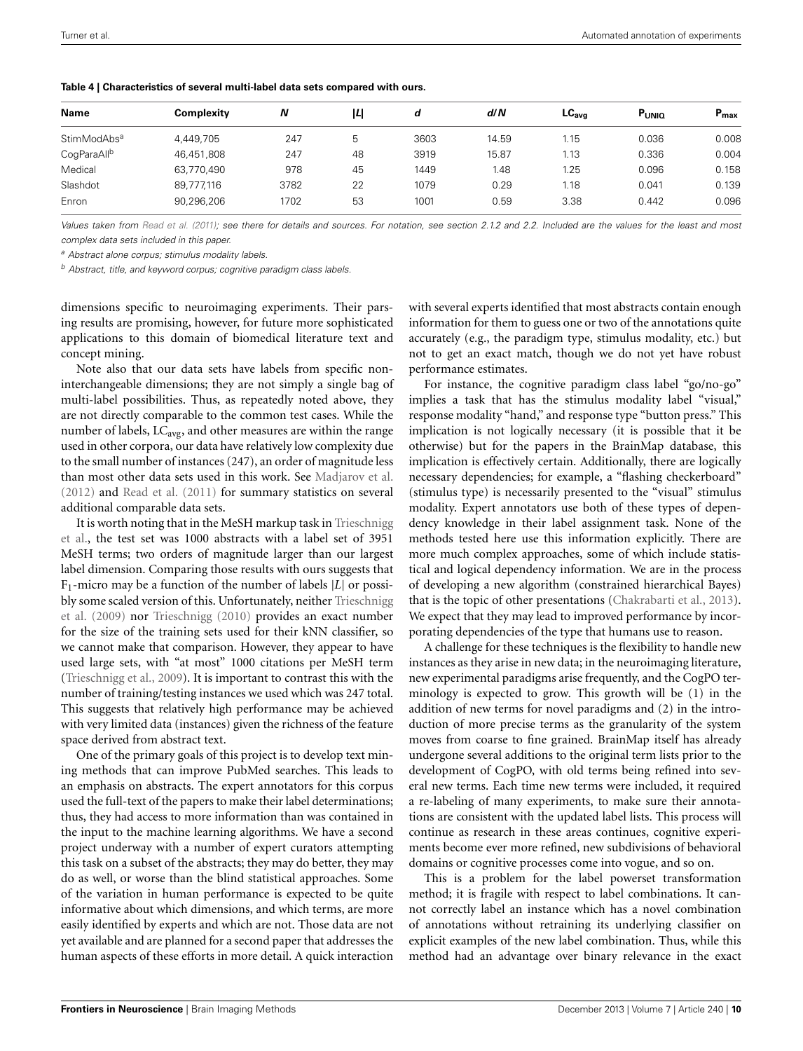| <b>Complexity</b> | Ν    | ıц | d    | d/N   | LC <sub>ava</sub> | PUNIO | $P_{max}$ |
|-------------------|------|----|------|-------|-------------------|-------|-----------|
| 4.449.705         | 247  | 5  | 3603 | 14.59 | 1.15              | 0.036 | 0.008     |
| 46.451.808        | 247  | 48 | 3919 | 15.87 | 1.13              | 0.336 | 0.004     |
| 63.770.490        | 978  | 45 | 1449 | 1.48  | 1.25              | 0.096 | 0.158     |
| 89.777.116        | 3782 | 22 | 1079 | 0.29  | 1.18              | 0.041 | 0.139     |
| 90,296,206        | 1702 | 53 | 1001 | 0.59  | 3.38              | 0.442 | 0.096     |
|                   |      |    |      |       |                   |       |           |

#### <span id="page-9-0"></span>**Table 4 | Characteristics of several multi-label data sets compared with ours.**

Values taken from [Read et al. \(2011](#page-12-14)); see there for details and sources. For notation, see section [2.1.2](#page-2-0) and [2.2.](#page-3-1) Included are the values for the least and most *complex data sets included in this paper.*

*<sup>a</sup> Abstract alone corpus; stimulus modality labels.*

*<sup>b</sup> Abstract, title, and keyword corpus; cognitive paradigm class labels.*

dimensions specific to neuroimaging experiments. Their parsing results are promising, however, for future more sophisticated applications to this domain of biomedical literature text and concept mining.

Note also that our data sets have labels from specific noninterchangeable dimensions; they are not simply a single bag of multi-label possibilities. Thus, as repeatedly noted above, they are not directly comparable to the common test cases. While the number of labels,  $LC_{avg}$ , and other measures are within the range used in other corpora, our data have relatively low complexity due to the small number of instances (247), an order of magnitude less than most other data sets used in this work. See [Madjarov et al.](#page-12-9) [\(2012\)](#page-12-9) and [Read et al.](#page-12-14) [\(2011](#page-12-14)) for summary statistics on several additional comparable data sets.

It [is](#page-12-0) [worth](#page-12-0) [noting](#page-12-0) [that](#page-12-0) [in](#page-12-0) [the](#page-12-0) [MeSH](#page-12-0) [markup](#page-12-0) [task](#page-12-0) [in](#page-12-0) Trieschnigg et al., the test set was 1000 abstracts with a label set of 3951 MeSH terms; two orders of magnitude larger than our largest label dimension. Comparing those results with ours suggests that F1-micro may be a function of the number of labels |*L*| or possibly s[ome scaled version of this. Unfortunately, neither](#page-12-0) Trieschnigg et al. [\(2009\)](#page-12-0) nor [Trieschnigg](#page-12-30) [\(2010\)](#page-12-30) provides an exact number for the size of the training sets used for their kNN classifier, so we cannot make that comparison. However, they appear to have used large sets, with "at most" 1000 citations per MeSH term [\(Trieschnigg et al., 2009](#page-12-0)). It is important to contrast this with the number of training/testing instances we used which was 247 total. This suggests that relatively high performance may be achieved with very limited data (instances) given the richness of the feature space derived from abstract text.

One of the primary goals of this project is to develop text mining methods that can improve PubMed searches. This leads to an emphasis on abstracts. The expert annotators for this corpus used the full-text of the papers to make their label determinations; thus, they had access to more information than was contained in the input to the machine learning algorithms. We have a second project underway with a number of expert curators attempting this task on a subset of the abstracts; they may do better, they may do as well, or worse than the blind statistical approaches. Some of the variation in human performance is expected to be quite informative about which dimensions, and which terms, are more easily identified by experts and which are not. Those data are not yet available and are planned for a second paper that addresses the human aspects of these efforts in more detail. A quick interaction

with several experts identified that most abstracts contain enough information for them to guess one or two of the annotations quite accurately (e.g., the paradigm type, stimulus modality, etc.) but not to get an exact match, though we do not yet have robust performance estimates.

For instance, the cognitive paradigm class label "go/no-go" implies a task that has the stimulus modality label "visual," response modality "hand," and response type "button press." This implication is not logically necessary (it is possible that it be otherwise) but for the papers in the BrainMap database, this implication is effectively certain. Additionally, there are logically necessary dependencies; for example, a "flashing checkerboard" (stimulus type) is necessarily presented to the "visual" stimulus modality. Expert annotators use both of these types of dependency knowledge in their label assignment task. None of the methods tested here use this information explicitly. There are more much complex approaches, some of which include statistical and logical dependency information. We are in the process of developing a new algorithm (constrained hierarchical Bayes) that is the topic of other presentations [\(Chakrabarti et al.](#page-11-18), [2013\)](#page-11-18). We expect that they may lead to improved performance by incorporating dependencies of the type that humans use to reason.

A challenge for these techniques is the flexibility to handle new instances as they arise in new data; in the neuroimaging literature, new experimental paradigms arise frequently, and the CogPO terminology is expected to grow. This growth will be (1) in the addition of new terms for novel paradigms and (2) in the introduction of more precise terms as the granularity of the system moves from coarse to fine grained. BrainMap itself has already undergone several additions to the original term lists prior to the development of CogPO, with old terms being refined into several new terms. Each time new terms were included, it required a re-labeling of many experiments, to make sure their annotations are consistent with the updated label lists. This process will continue as research in these areas continues, cognitive experiments become ever more refined, new subdivisions of behavioral domains or cognitive processes come into vogue, and so on.

This is a problem for the label powerset transformation method; it is fragile with respect to label combinations. It cannot correctly label an instance which has a novel combination of annotations without retraining its underlying classifier on explicit examples of the new label combination. Thus, while this method had an advantage over binary relevance in the exact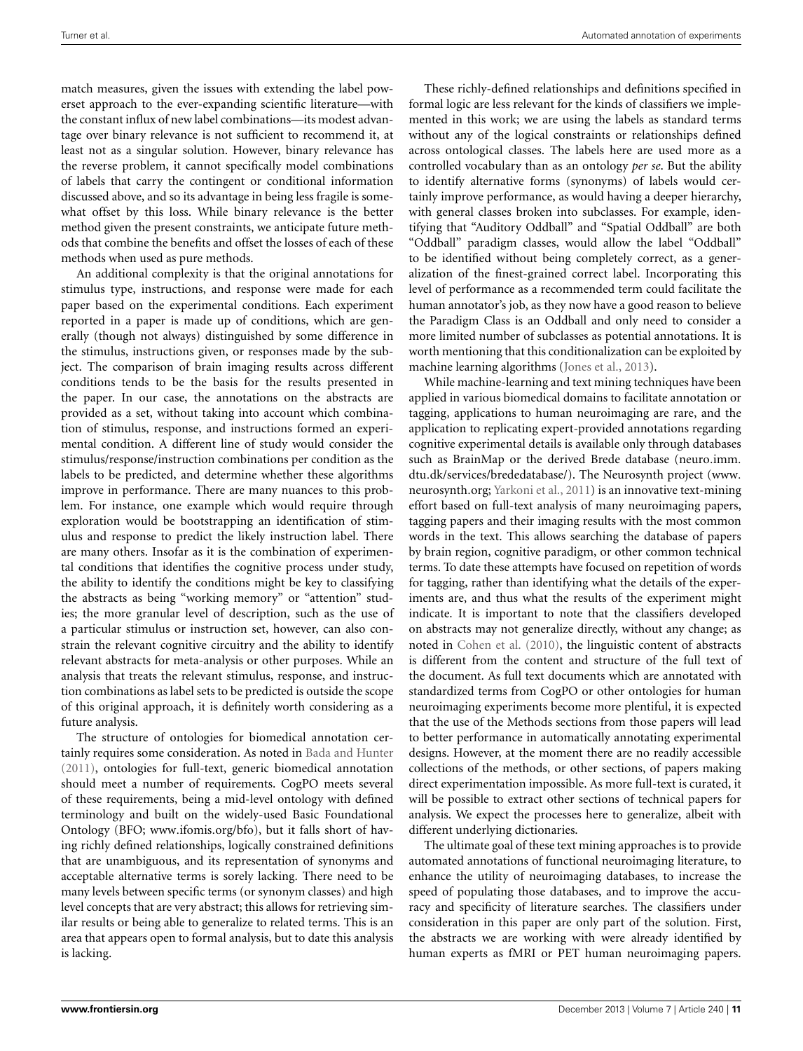match measures, given the issues with extending the label powerset approach to the ever-expanding scientific literature—with the constant influx of new label combinations—its modest advantage over binary relevance is not sufficient to recommend it, at least not as a singular solution. However, binary relevance has the reverse problem, it cannot specifically model combinations of labels that carry the contingent or conditional information discussed above, and so its advantage in being less fragile is somewhat offset by this loss. While binary relevance is the better method given the present constraints, we anticipate future methods that combine the benefits and offset the losses of each of these methods when used as pure methods.

An additional complexity is that the original annotations for stimulus type, instructions, and response were made for each paper based on the experimental conditions. Each experiment reported in a paper is made up of conditions, which are generally (though not always) distinguished by some difference in the stimulus, instructions given, or responses made by the subject. The comparison of brain imaging results across different conditions tends to be the basis for the results presented in the paper. In our case, the annotations on the abstracts are provided as a set, without taking into account which combination of stimulus, response, and instructions formed an experimental condition. A different line of study would consider the stimulus/response/instruction combinations per condition as the labels to be predicted, and determine whether these algorithms improve in performance. There are many nuances to this problem. For instance, one example which would require through exploration would be bootstrapping an identification of stimulus and response to predict the likely instruction label. There are many others. Insofar as it is the combination of experimental conditions that identifies the cognitive process under study, the ability to identify the conditions might be key to classifying the abstracts as being "working memory" or "attention" studies; the more granular level of description, such as the use of a particular stimulus or instruction set, however, can also constrain the relevant cognitive circuitry and the ability to identify relevant abstracts for meta-analysis or other purposes. While an analysis that treats the relevant stimulus, response, and instruction combinations as label sets to be predicted is outside the scope of this original approach, it is definitely worth considering as a future analysis.

The structure of ontologies for biomedical annotation certainly requires some consideration. As noted in [Bada and Hunter](#page-11-19) [\(2011\)](#page-11-19), ontologies for full-text, generic biomedical annotation should meet a number of requirements. CogPO meets several of these requirements, being a mid-level ontology with defined terminology and built on the widely-used Basic Foundational Ontology (BFO; www.ifomis.[org/bfo\)](www.ifomis.org/bfo), but it falls short of having richly defined relationships, logically constrained definitions that are unambiguous, and its representation of synonyms and acceptable alternative terms is sorely lacking. There need to be many levels between specific terms (or synonym classes) and high level concepts that are very abstract; this allows for retrieving similar results or being able to generalize to related terms. This is an area that appears open to formal analysis, but to date this analysis is lacking.

These richly-defined relationships and definitions specified in formal logic are less relevant for the kinds of classifiers we implemented in this work; we are using the labels as standard terms without any of the logical constraints or relationships defined across ontological classes. The labels here are used more as a controlled vocabulary than as an ontology *per se*. But the ability to identify alternative forms (synonyms) of labels would certainly improve performance, as would having a deeper hierarchy, with general classes broken into subclasses. For example, identifying that "Auditory Oddball" and "Spatial Oddball" are both "Oddball" paradigm classes, would allow the label "Oddball" to be identified without being completely correct, as a generalization of the finest-grained correct label. Incorporating this level of performance as a recommended term could facilitate the human annotator's job, as they now have a good reason to believe the Paradigm Class is an Oddball and only need to consider a more limited number of subclasses as potential annotations. It is worth mentioning that this conditionalization can be exploited by machine learning algorithms [\(Jones et al., 2013\)](#page-11-20).

While machine-learning and text mining techniques have been applied in various biomedical domains to facilitate annotation or tagging, applications to human neuroimaging are rare, and the application to replicating expert-provided annotations regarding cognitive experimental details is available only through databases such as BrainMap or the derived Brede database [\(neuro](neuro.imm.dtu.dk/services/brededatabase/).imm. dtu.[dk/services/brededatabase/\)](neuro.imm.dtu.dk/services/brededatabase/). The Neurosynth project [\(www](www.neurosynth.org). [neurosynth](www.neurosynth.org).org; [Yarkoni et al.](#page-12-31), [2011\)](#page-12-31) is an innovative text-mining effort based on full-text analysis of many neuroimaging papers, tagging papers and their imaging results with the most common words in the text. This allows searching the database of papers by brain region, cognitive paradigm, or other common technical terms. To date these attempts have focused on repetition of words for tagging, rather than identifying what the details of the experiments are, and thus what the results of the experiment might indicate. It is important to note that the classifiers developed on abstracts may not generalize directly, without any change; as noted in [Cohen et al.](#page-11-21) [\(2010](#page-11-21)), the linguistic content of abstracts is different from the content and structure of the full text of the document. As full text documents which are annotated with standardized terms from CogPO or other ontologies for human neuroimaging experiments become more plentiful, it is expected that the use of the Methods sections from those papers will lead to better performance in automatically annotating experimental designs. However, at the moment there are no readily accessible collections of the methods, or other sections, of papers making direct experimentation impossible. As more full-text is curated, it will be possible to extract other sections of technical papers for analysis. We expect the processes here to generalize, albeit with different underlying dictionaries.

The ultimate goal of these text mining approaches is to provide automated annotations of functional neuroimaging literature, to enhance the utility of neuroimaging databases, to increase the speed of populating those databases, and to improve the accuracy and specificity of literature searches. The classifiers under consideration in this paper are only part of the solution. First, the abstracts we are working with were already identified by human experts as fMRI or PET human neuroimaging papers.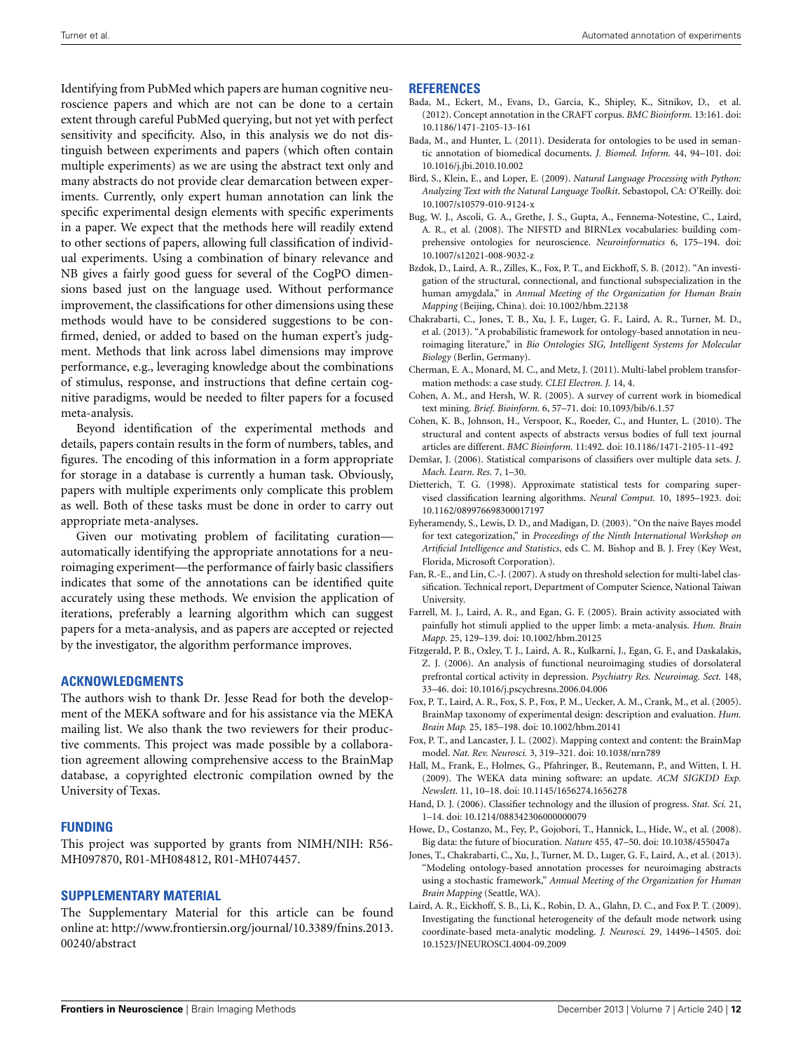Identifying from PubMed which papers are human cognitive neuroscience papers and which are not can be done to a certain extent through careful PubMed querying, but not yet with perfect sensitivity and specificity. Also, in this analysis we do not distinguish between experiments and papers (which often contain multiple experiments) as we are using the abstract text only and many abstracts do not provide clear demarcation between experiments. Currently, only expert human annotation can link the specific experimental design elements with specific experiments in a paper. We expect that the methods here will readily extend to other sections of papers, allowing full classification of individual experiments. Using a combination of binary relevance and NB gives a fairly good guess for several of the CogPO dimensions based just on the language used. Without performance improvement, the classifications for other dimensions using these methods would have to be considered suggestions to be confirmed, denied, or added to based on the human expert's judgment. Methods that link across label dimensions may improve performance, e.g., leveraging knowledge about the combinations of stimulus, response, and instructions that define certain cognitive paradigms, would be needed to filter papers for a focused meta-analysis.

Beyond identification of the experimental methods and details, papers contain results in the form of numbers, tables, and figures. The encoding of this information in a form appropriate for storage in a database is currently a human task. Obviously, papers with multiple experiments only complicate this problem as well. Both of these tasks must be done in order to carry out appropriate meta-analyses.

Given our motivating problem of facilitating curation automatically identifying the appropriate annotations for a neuroimaging experiment—the performance of fairly basic classifiers indicates that some of the annotations can be identified quite accurately using these methods. We envision the application of iterations, preferably a learning algorithm which can suggest papers for a meta-analysis, and as papers are accepted or rejected by the investigator, the algorithm performance improves.

# **ACKNOWLEDGMENTS**

The authors wish to thank Dr. Jesse Read for both the development of the MEKA software and for his assistance via the MEKA mailing list. We also thank the two reviewers for their productive comments. This project was made possible by a collaboration agreement allowing comprehensive access to the BrainMap database, a copyrighted electronic compilation owned by the University of Texas.

## **FUNDING**

This project was supported by grants from NIMH/NIH: R56- MH097870, R01-MH084812, R01-MH074457.

#### **SUPPLEMENTARY MATERIAL**

The Supplementary Material for this article can be found online at: [http://www.frontiersin.org/journal/10.3389/fnins.2013.](http://www.frontiersin.org/journal/10.3389/fnins.2013.00240/abstract) [00240/abstract](http://www.frontiersin.org/journal/10.3389/fnins.2013.00240/abstract)

#### **REFERENCES**

- <span id="page-11-17"></span>Bada, M., Eckert, M., Evans, D., Garcia, K., Shipley, K., Sitnikov, D., et al. (2012). Concept annotation in the CRAFT corpus. *BMC Bioinform.* 13:161. doi: 10.1186/1471-2105-13-161
- <span id="page-11-19"></span>Bada, M., and Hunter, L. (2011). Desiderata for ontologies to be used in semantic annotation of biomedical documents. *J. Biomed. Inform.* 44, 94–101. doi: 10.1016/j.jbi.2010.10.002
- <span id="page-11-9"></span>Bird, S., Klein, E., and Loper, E. (2009). *Natural Language Processing with Python: Analyzing Text with the Natural Language Toolkit*. Sebastopol, CA: O'Reilly. doi: 10.1007/s10579-010-9124-x
- <span id="page-11-8"></span>Bug, W. J., Ascoli, G. A., Grethe, J. S., Gupta, A., Fennema-Notestine, C., Laird, A. R., et al. (2008). The NIFSTD and BIRNLex vocabularies: building comprehensive ontologies for neuroscience. *Neuroinformatics* 6, 175–194. doi: 10.1007/s12021-008-9032-z
- <span id="page-11-6"></span>Bzdok, D., Laird, A. R., Zilles, K., Fox, P. T., and Eickhoff, S. B. (2012). "An investigation of the structural, connectional, and functional subspecialization in the human amygdala," in *Annual Meeting of the Organization for Human Brain Mapping* (Beijing, China). doi: 10.1002/hbm.22138
- <span id="page-11-18"></span>Chakrabarti, C., Jones, T. B., Xu, J. F., Luger, G. F., Laird, A. R., Turner, M. D., et al. (2013). "A probabilistic framework for ontology-based annotation in neuroimaging literature," in *Bio Ontologies SIG, Intelligent Systems for Molecular Biology* (Berlin, Germany).
- <span id="page-11-11"></span>Cherman, E. A., Monard, M. C., and Metz, J. (2011). Multi-label problem transformation methods: a case study. *CLEI Electron. J.* 14, 4.
- <span id="page-11-14"></span>Cohen, A. M., and Hersh, W. R. (2005). A survey of current work in biomedical text mining. *Brief. Bioinform.* 6, 57–71. doi: 10.1093/bib/6.1.57
- <span id="page-11-21"></span>Cohen, K. B., Johnson, H., Verspoor, K., Roeder, C., and Hunter, L. (2010). The structural and content aspects of abstracts versus bodies of full text journal articles are different. *BMC Bioinform.* 11:492. doi: 10.1186/1471-2105-11-492
- <span id="page-11-16"></span>Demšar, J. (2006). Statistical comparisons of classifiers over multiple data sets. *J. Mach. Learn. Res.* 7, 1–30.
- <span id="page-11-15"></span>Dietterich, T. G. (1998). Approximate statistical tests for comparing supervised classification learning algorithms. *Neural Comput.* 10, 1895–1923. doi: 10.1162/089976698300017197
- <span id="page-11-13"></span>Eyheramendy, S., Lewis, D. D., and Madigan, D. (2003). "On the naive Bayes model for text categorization," in *Proceedings of the Ninth International Workshop on Artificial Intelligence and Statistics*, eds C. M. Bishop and B. J. Frey (Key West, Florida, Microsoft Corporation).
- <span id="page-11-12"></span>Fan, R.-E., and Lin, C.-J. (2007). A study on threshold selection for multi-label classification. Technical report, Department of Computer Science, National Taiwan University.
- <span id="page-11-3"></span>Farrell, M. J., Laird, A. R., and Egan, G. F. (2005). Brain activity associated with painfully hot stimuli applied to the upper limb: a meta-analysis. *Hum. Brain Mapp.* 25, 129–139. doi: 10.1002/hbm.20125
- <span id="page-11-4"></span>Fitzgerald, P. B., Oxley, T. J., Laird, A. R., Kulkarni, J., Egan, G. F., and Daskalakis, Z. J. (2006). An analysis of functional neuroimaging studies of dorsolateral prefrontal cortical activity in depression. *Psychiatry Res. Neuroimag. Sect.* 148, 33–46. doi: 10.1016/j.pscychresns.2006.04.006
- <span id="page-11-2"></span>Fox, P. T., Laird, A. R., Fox, S. P., Fox, P. M., Uecker, A. M., Crank, M., et al. (2005). BrainMap taxonomy of experimental design: description and evaluation. *Hum. Brain Map.* 25, 185–198. doi: 10.1002/hbm.20141
- <span id="page-11-1"></span>Fox, P. T., and Lancaster, J. L. (2002). Mapping context and content: the BrainMap model. *Nat. Rev. Neurosci.* 3, 319–321. doi: 10.1038/nrn789
- <span id="page-11-10"></span>Hall, M., Frank, E., Holmes, G., Pfahringer, B., Reutemann, P., and Witten, I. H. (2009). The WEKA data mining software: an update. *ACM SIGKDD Exp. Newslett.* 11, 10–18. doi: 10.1145/1656274.1656278
- <span id="page-11-7"></span>Hand, D. J. (2006). Classifier technology and the illusion of progress. *Stat. Sci.* 21, 1–14. doi: 10.1214/088342306000000079
- <span id="page-11-0"></span>Howe, D., Costanzo, M., Fey, P., Gojobori, T., Hannick, L., Hide, W., et al. (2008). Big data: the future of biocuration. *Nature* 455, 47–50. doi: 10.1038/455047a
- <span id="page-11-20"></span>Jones, T., Chakrabarti, C., Xu, J., Turner, M. D., Luger, G. F., Laird, A., et al. (2013). "Modeling ontology-based annotation processes for neuroimaging abstracts using a stochastic framework," *Annual Meeting of the Organization for Human Brain Mapping* (Seattle, WA).
- <span id="page-11-5"></span>Laird, A. R., Eickhoff, S. B., Li, K., Robin, D. A., Glahn, D. C., and Fox P. T. (2009). Investigating the functional heterogeneity of the default mode network using coordinate-based meta-analytic modeling. *J. Neurosci.* 29, 14496–14505. doi: 10.1523/JNEUROSCI.4004-09.2009